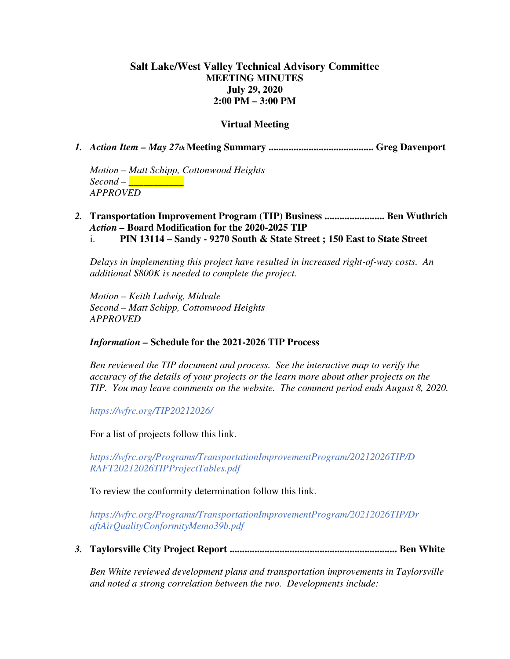### **Salt Lake/West Valley Technical Advisory Committee MEETING MINUTES July 29, 2020 2:00 PM – 3:00 PM**

#### **Virtual Meeting**

*1. Action Item – May 27th* **Meeting Summary .......................................... Greg Davenport** 

*Motion – Matt Schipp, Cottonwood Heights Second – \_\_\_\_\_\_\_\_\_\_\_ APPROVED* 

# *2.* **Transportation Improvement Program (TIP) Business ........................ Ben Wuthrich**  *Action –* **Board Modification for the 2020-2025 TIP**

i. **PIN 13114 – Sandy - 9270 South & State Street ; 150 East to State Street** 

*Delays in implementing this project have resulted in increased right-of-way costs. An additional \$800K is needed to complete the project.*

*Motion – Keith Ludwig, Midvale Second – Matt Schipp, Cottonwood Heights APPROVED* 

#### *Information –* **Schedule for the 2021-2026 TIP Process**

*Ben reviewed the TIP document and process. See the interactive map to verify the accuracy of the details of your projects or the learn more about other projects on the TIP. You may leave comments on the website. The comment period ends August 8, 2020.* 

*https://wfrc.org/TIP20212026/* 

For a list of projects follow this link.

*https://wfrc.org/Programs/TransportationImprovementProgram/20212026TIP/D RAFT20212026TIPProjectTables.pdf* 

To review the conformity determination follow this link.

*https://wfrc.org/Programs/TransportationImprovementProgram/20212026TIP/Dr aftAirQualityConformityMemo39b.pdf* 

*3.* **Taylorsville City Project Report ................................................................... Ben White** 

*Ben White reviewed development plans and transportation improvements in Taylorsville and noted a strong correlation between the two. Developments include:*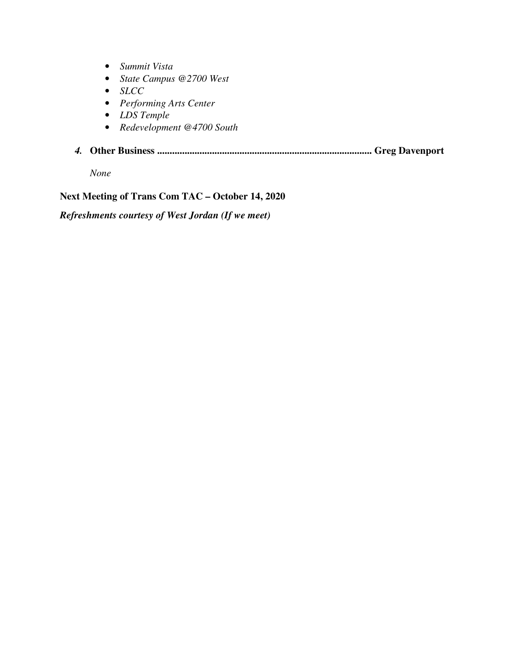- *Summit Vista*
- *State Campus @2700 West*
- *SLCC*
- *Performing Arts Center*
- *LDS Temple*
- *Redevelopment @4700 South*
- *4.* **Other Business ...................................................................................... Greg Davenport**

*None* 

### **Next Meeting of Trans Com TAC – October 14, 2020**

*Refreshments courtesy of West Jordan (If we meet)*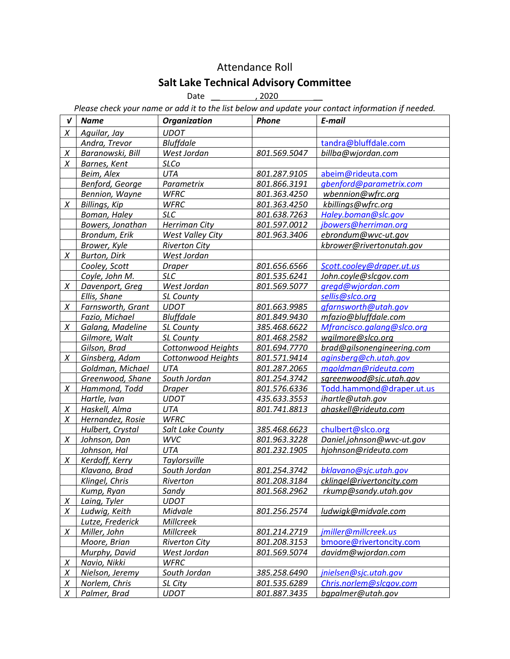# Attendance Roll

## Salt Lake Technical Advisory Committee

Date \_\_ , 2020 \_\_

Please check your name or add it to the list below and update your contact information if needed.

| V                | <b>Name</b>             | <b>Organization</b>       | Phone        | E-mail                     |
|------------------|-------------------------|---------------------------|--------------|----------------------------|
| X                | Aguilar, Jay            | <b>UDOT</b>               |              |                            |
|                  | Andra, Trevor           | <b>Bluffdale</b>          |              | tandra@bluffdale.com       |
| X                | Baranowski, Bill        | West Jordan               | 801.569.5047 | billba@wjordan.com         |
| X                | Barnes, Kent            | <b>SLCo</b>               |              |                            |
|                  | Beim, Alex              | <b>UTA</b>                | 801.287.9105 | abeim@rideuta.com          |
|                  | Benford, George         | Parametrix                | 801.866.3191 | gbenford@parametrix.com    |
|                  | <b>Bennion, Wayne</b>   | <b>WFRC</b>               | 801.363.4250 | wbennion@wfrc.org          |
| X                | <b>Billings, Kip</b>    | <b>WFRC</b>               | 801.363.4250 | kbillings@wfrc.org         |
|                  | Boman, Haley            | <b>SLC</b>                | 801.638.7263 | Haley.boman@slc.gov        |
|                  | <b>Bowers, Jonathan</b> | <b>Herriman City</b>      | 801.597.0012 | jbowers@herriman.org       |
|                  | Brondum, Erik           | <b>West Valley City</b>   | 801.963.3406 | ebrondum@wvc-ut.gov        |
|                  | Brower, Kyle            | <b>Riverton City</b>      |              | kbrower@rivertonutah.gov   |
| X                | <b>Burton, Dirk</b>     | West Jordan               |              |                            |
|                  | Cooley, Scott           | <b>Draper</b>             | 801.656.6566 | Scott.cooley@draper.ut.us  |
|                  | Coyle, John M.          | <b>SLC</b>                | 801.535.6241 | John.coyle@slcgov.com      |
| X                | Davenport, Greg         | West Jordan               | 801.569.5077 | gregd@wjordan.com          |
|                  | Ellis, Shane            | SL County                 |              | sellis@slco.org            |
| X                | Farnsworth, Grant       | <b>UDOT</b>               | 801.663.9985 | gfarnsworth@utah.gov       |
|                  | Fazio, Michael          | <b>Bluffdale</b>          | 801.849.9430 | mfazio@bluffdale.com       |
| X                | Galang, Madeline        | SL County                 | 385.468.6622 | Mfrancisco.galang@slco.org |
|                  | Gilmore, Walt           | <b>SL County</b>          | 801.468.2582 | wgilmore@slco.org          |
|                  | Gilson, Brad            | Cottonwood Heights        | 801.694.7770 | brad@gilsonengineering.com |
| X                | Ginsberg, Adam          | <b>Cottonwood Heights</b> | 801.571.9414 | aginsberg@ch.utah.gov      |
|                  | Goldman, Michael        | UTA                       | 801.287.2065 | mgoldman@rideuta.com       |
|                  | Greenwood, Shane        | South Jordan              | 801.254.3742 | sgreenwood@sjc.utah.gov    |
| $\chi$           | Hammond, Todd           | <b>Draper</b>             | 801.576.6336 | Todd.hammond@draper.ut.us  |
|                  | Hartle, Ivan            | <b>UDOT</b>               | 435.633.3553 | ihartle@utah.gov           |
| X                | Haskell, Alma           | UTA                       | 801.741.8813 | ahaskell@rideuta.com       |
| $\chi$           | Hernandez, Rosie        | <b>WFRC</b>               |              |                            |
|                  | Hulbert, Crystal        | Salt Lake County          | 385.468.6623 | chulbert@slco.org          |
| Χ                | Johnson, Dan            | WVC                       | 801.963.3228 | Daniel.johnson@wvc-ut.gov  |
|                  | Johnson, Hal            | <b>UTA</b>                | 801.232.1905 | hjohnson@rideuta.com       |
| X                | Kerdoff, Kerry          | <b>Taylorsville</b>       |              |                            |
|                  | Klavano, Brad           | South Jordan              | 801.254.3742 | bklavano@sjc.utah.gov      |
|                  | Klingel, Chris          | Riverton                  | 801.208.3184 | cklingel@rivertoncity.com  |
|                  | <u>Kump, Ryan</u>       | Sandy                     | 801.568.2962 | rkump@sandy.utah.gov       |
| $\boldsymbol{X}$ | Laing, Tyler            | <b>UDOT</b>               |              |                            |
| X                | Ludwig, Keith           | Midvale                   | 801.256.2574 | ludwigk@midvale.com        |
|                  | Lutze, Frederick        | Millcreek                 |              |                            |
| X                | Miller, John            | Millcreek                 | 801.214.2719 | jmiller@millcreek.us       |
|                  | Moore, Brian            | <b>Riverton City</b>      | 801.208.3153 | bmoore@rivertoncity.com    |
|                  | Murphy, David           | West Jordan               | 801.569.5074 | davidm@wjordan.com         |
| X                | Navio, Nikki            | <b>WFRC</b>               |              |                            |
| $\chi$           | Nielson, Jeremy         | South Jordan              | 385.258.6490 | jnielsen@sjc.utah.gov      |
| $\chi$           | Norlem, Chris           | SL City                   | 801.535.6289 | Chris.norlem@slcgov.com    |
| $\chi$           | Palmer, Brad            | <b>UDOT</b>               | 801.887.3435 | bgpalmer@utah.gov          |